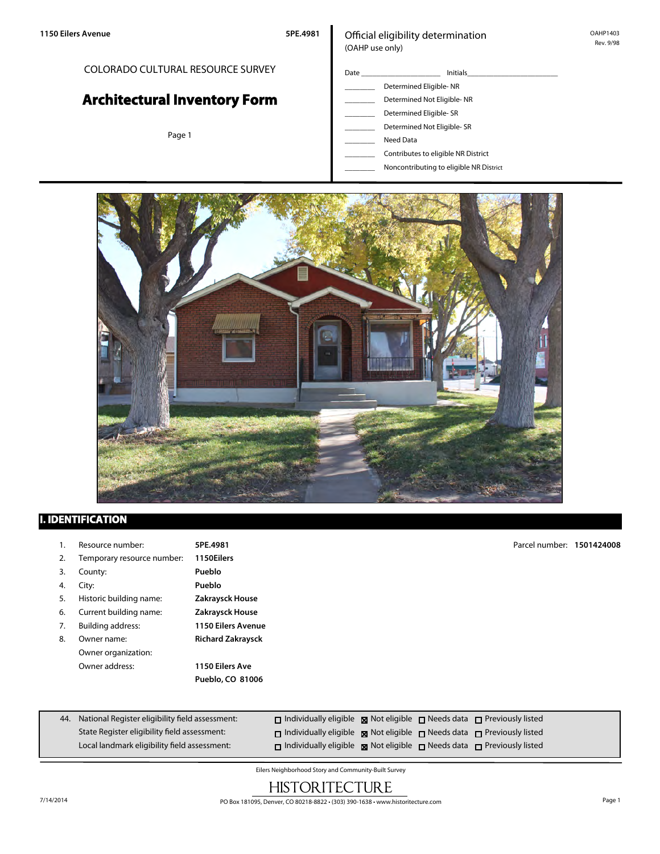## COLORADO CULTURAL RESOURCE SURVEY

# **Architectural Inventory Form**

Page 1

### Official eligibility determination (OAHP use only)

- Date \_\_\_\_\_\_\_\_\_\_\_\_\_\_\_\_\_\_\_\_\_ Initials\_\_\_\_\_\_\_\_\_\_\_\_\_\_\_\_\_\_\_\_\_\_\_\_ \_\_\_\_\_\_\_\_ Determined Eligible- NR Determined Not Eligible- NR Determined Eligible- SR Determined Not Eligible- SR Need Data
	- \_\_\_\_\_\_\_\_ Contributes to eligible NR District
	- \_\_\_\_\_\_\_\_ Noncontributing to eligible NR District



## **I. IDENTIFICATION**

| ι. | Resource number:           | 5PE.4981                  | Parcel number: 1501424008 |  |
|----|----------------------------|---------------------------|---------------------------|--|
| 2. | Temporary resource number: | 1150Eilers                |                           |  |
| 3. | County:                    | Pueblo                    |                           |  |
| 4. | City:                      | Pueblo                    |                           |  |
| 5. | Historic building name:    | Zakraysck House           |                           |  |
| 6. | Current building name:     | Zakraysck House           |                           |  |
| 7. | Building address:          | <b>1150 Eilers Avenue</b> |                           |  |
| 8. | Owner name:                | <b>Richard Zakraysck</b>  |                           |  |
|    | Owner organization:        |                           |                           |  |
|    | Owner address:             | 1150 Eilers Ave           |                           |  |
|    |                            | Pueblo, CO 81006          |                           |  |
|    |                            |                           |                           |  |
|    |                            |                           |                           |  |

| 44. National Register eligibility field assessment: | $\Box$ Individually eligible $\boxtimes$ Not eligible $\Box$ Needs data $\Box$ Previously listed |  |  |
|-----------------------------------------------------|--------------------------------------------------------------------------------------------------|--|--|
| State Register eligibility field assessment:        | $\Box$ Individually eligible $\boxtimes$ Not eligible $\Box$ Needs data $\Box$ Previously listed |  |  |
| Local landmark eligibility field assessment:        | $\Box$ Individually eligible $\boxtimes$ Not eligible $\Box$ Needs data $\Box$ Previously listed |  |  |

Eilers Neighborhood Story and Community-Built Survey

## **HISTORITECTURE**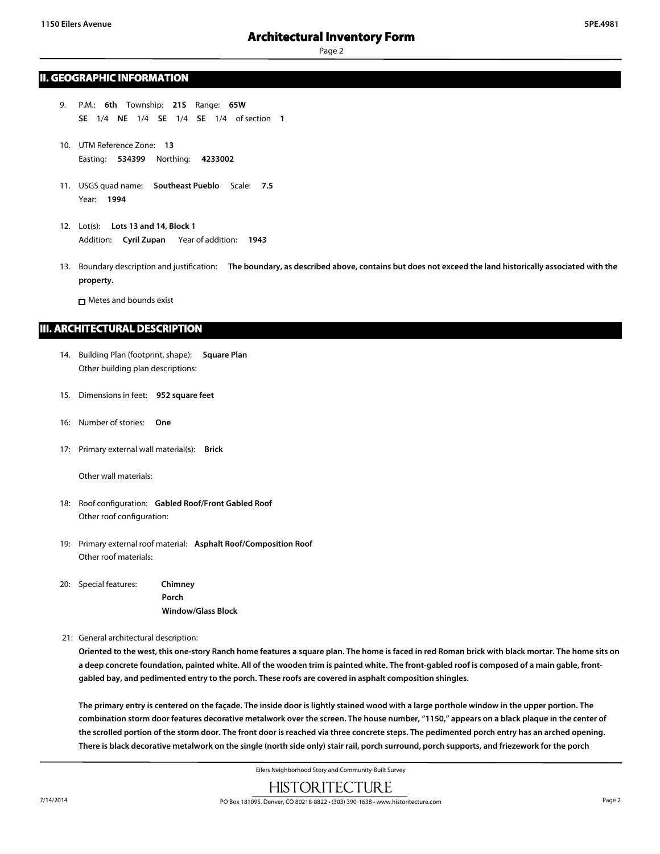Page 2

#### **II. GEOGRAPHIC INFORMATION**

- 9. P.M.: **6th** Township: **21S** Range: **65W SE** 1/4 **NE** 1/4 **SE** 1/4 **SE** 1/4 of section **1**
- 10. UTM Reference Zone: **13** Easting: **534399** Northing: **4233002**
- 11. USGS quad name: **Southeast Pueblo** Scale: **7.5** Year: **1994**
- 12. Lot(s): **Lots 13 and 14, Block 1** Addition: **Cyril Zupan** Year of addition: **1943**
- 13. Boundary description and justification: **The boundary, as described above, contains but does not exceed the land historically associated with the property.**

Metes and bounds exist

#### **III. ARCHITECTURAL DESCRIPTION**

- 14. Building Plan (footprint, shape): **Square Plan** Other building plan descriptions:
- 15. Dimensions in feet: **952 square feet**
- 16: Number of stories: **One**
- 17: Primary external wall material(s): **Brick**

Other wall materials:

- 18: Roof configuration: **Gabled Roof/Front Gabled Roof** Other roof configuration:
- 19: Primary external roof material: **Asphalt Roof/Composition Roof** Other roof materials:
- 20: Special features: **Chimney Porch Window/Glass Block**

21: General architectural description:

**Oriented to the west, this one-story Ranch home features a square plan. The home is faced in red Roman brick with black mortar. The home sits on a deep concrete foundation, painted white. All of the wooden trim is painted white. The front-gabled roof is composed of a main gable, frontgabled bay, and pedimented entry to the porch. These roofs are covered in asphalt composition shingles.**

**The primary entry is centered on the façade. The inside door is lightly stained wood with a large porthole window in the upper portion. The combination storm door features decorative metalwork over the screen. The house number, "1150," appears on a black plaque in the center of the scrolled portion of the storm door. The front door is reached via three concrete steps. The pedimented porch entry has an arched opening. There is black decorative metalwork on the single (north side only) stair rail, porch surround, porch supports, and friezework for the porch**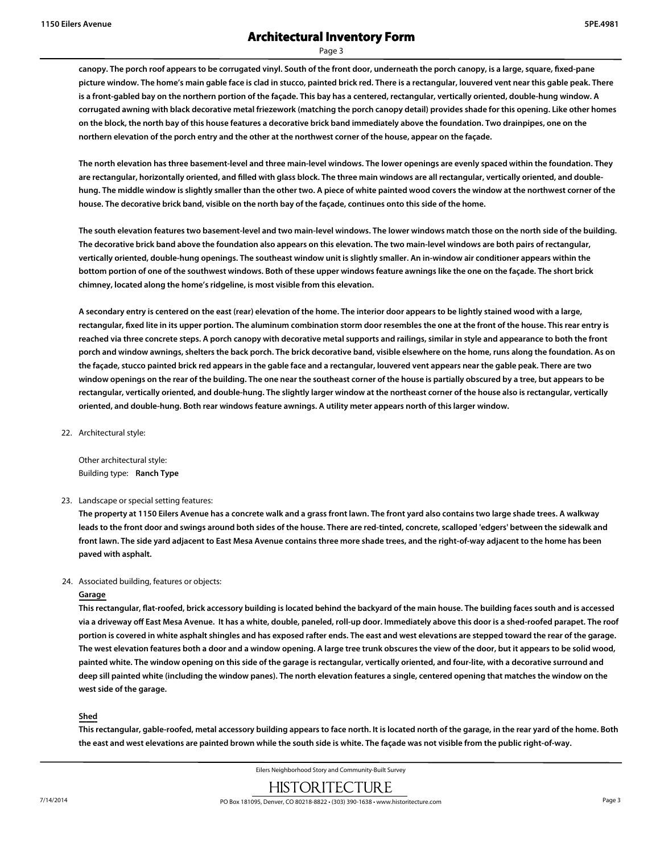Page 3

**canopy. The porch roof appears to be corrugated vinyl. South of the front door, underneath the porch canopy, is a large, square, fixed-pane picture window. The home's main gable face is clad in stucco, painted brick red. There is a rectangular, louvered vent near this gable peak. There is a front-gabled bay on the northern portion of the façade. This bay has a centered, rectangular, vertically oriented, double-hung window. A corrugated awning with black decorative metal friezework (matching the porch canopy detail) provides shade for this opening. Like other homes on the block, the north bay of this house features a decorative brick band immediately above the foundation. Two drainpipes, one on the northern elevation of the porch entry and the other at the northwest corner of the house, appear on the façade.**

**The north elevation has three basement-level and three main-level windows. The lower openings are evenly spaced within the foundation. They are rectangular, horizontally oriented, and filled with glass block. The three main windows are all rectangular, vertically oriented, and doublehung. The middle window is slightly smaller than the other two. A piece of white painted wood covers the window at the northwest corner of the house. The decorative brick band, visible on the north bay of the façade, continues onto this side of the home.**

**The south elevation features two basement-level and two main-level windows. The lower windows match those on the north side of the building. The decorative brick band above the foundation also appears on this elevation. The two main-level windows are both pairs of rectangular, vertically oriented, double-hung openings. The southeast window unit is slightly smaller. An in-window air conditioner appears within the bottom portion of one of the southwest windows. Both of these upper windows feature awnings like the one on the façade. The short brick chimney, located along the home's ridgeline, is most visible from this elevation.**

**A secondary entry is centered on the east (rear) elevation of the home. The interior door appears to be lightly stained wood with a large, rectangular, fixed lite in its upper portion. The aluminum combination storm door resembles the one at the front of the house. This rear entry is reached via three concrete steps. A porch canopy with decorative metal supports and railings, similar in style and appearance to both the front porch and window awnings, shelters the back porch. The brick decorative band, visible elsewhere on the home, runs along the foundation. As on the façade, stucco painted brick red appears in the gable face and a rectangular, louvered vent appears near the gable peak. There are two window openings on the rear of the building. The one near the southeast corner of the house is partially obscured by a tree, but appears to be rectangular, vertically oriented, and double-hung. The slightly larger window at the northeast corner of the house also is rectangular, vertically oriented, and double-hung. Both rear windows feature awnings. A utility meter appears north of this larger window.**

22. Architectural style:

Other architectural style: Building type: **Ranch Type**

#### 23. Landscape or special setting features:

**The property at 1150 Eilers Avenue has a concrete walk and a grass front lawn. The front yard also contains two large shade trees. A walkway leads to the front door and swings around both sides of the house. There are red-tinted, concrete, scalloped 'edgers' between the sidewalk and front lawn. The side yard adjacent to East Mesa Avenue contains three more shade trees, and the right-of-way adjacent to the home has been paved with asphalt.**

#### 24. Associated building, features or objects:

#### **Garage**

**This rectangular, flat-roofed, brick accessory building is located behind the backyard of the main house. The building faces south and is accessed via a driveway off East Mesa Avenue. It has a white, double, paneled, roll-up door. Immediately above this door is a shed-roofed parapet. The roof portion is covered in white asphalt shingles and has exposed rafter ends. The east and west elevations are stepped toward the rear of the garage. The west elevation features both a door and a window opening. A large tree trunk obscures the view of the door, but it appears to be solid wood, painted white. The window opening on this side of the garage is rectangular, vertically oriented, and four-lite, with a decorative surround and deep sill painted white (including the window panes). The north elevation features a single, centered opening that matches the window on the west side of the garage.**

#### **Shed**

**This rectangular, gable-roofed, metal accessory building appears to face north. It is located north of the garage, in the rear yard of the home. Both the east and west elevations are painted brown while the south side is white. The façade was not visible from the public right-of-way.**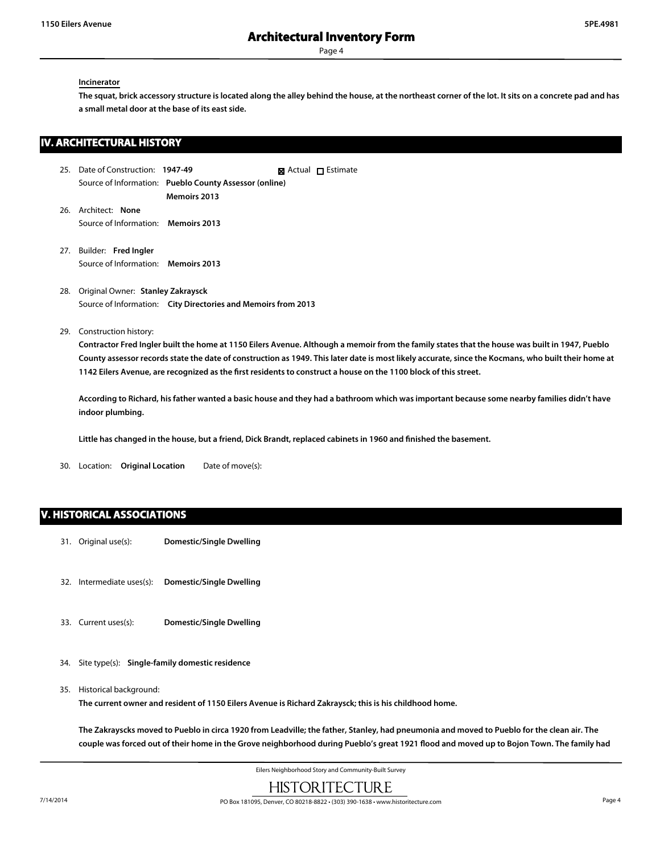Page 4

#### **Incinerator**

**The squat, brick accessory structure is located along the alley behind the house, at the northeast corner of the lot. It sits on a concrete pad and has a small metal door at the base of its east side.**

## **IV. ARCHITECTURAL HISTORY**

- 25. Date of Construction: **1947-49** Source of Information: **Pueblo County Assessor (online) Memoirs 2013 X** Actual **D** Estimate
- 26. Architect: **None** Source of Information: **Memoirs 2013**
- 27. Builder: **Fred Ingler** Source of Information: **Memoirs 2013**
- 28. Original Owner: **Stanley Zakraysck** Source of Information: **City Directories and Memoirs from 2013**
- 29. Construction history:

**Contractor Fred Ingler built the home at 1150 Eilers Avenue. Although a memoir from the family states that the house was built in 1947, Pueblo County assessor records state the date of construction as 1949. This later date is most likely accurate, since the Kocmans, who built their home at 1142 Eilers Avenue, are recognized as the first residents to construct a house on the 1100 block of this street.**

**According to Richard, his father wanted a basic house and they had a bathroom which was important because some nearby families didn't have indoor plumbing.**

**Little has changed in the house, but a friend, Dick Brandt, replaced cabinets in 1960 and finished the basement.**

30. Location: **Original Location** Date of move(s):

#### **V. HISTORICAL ASSOCIATIONS**

- 31. Original use(s): **Domestic/Single Dwelling**
- 32. Intermediate uses(s): **Domestic/Single Dwelling**
- 33. Current uses(s): **Domestic/Single Dwelling**
- 34. Site type(s): **Single-family domestic residence**
- 35. Historical background:

**The current owner and resident of 1150 Eilers Avenue is Richard Zakraysck; this is his childhood home.**

**The Zakrayscks moved to Pueblo in circa 1920 from Leadville; the father, Stanley, had pneumonia and moved to Pueblo for the clean air. The couple was forced out of their home in the Grove neighborhood during Pueblo's great 1921 flood and moved up to Bojon Town. The family had**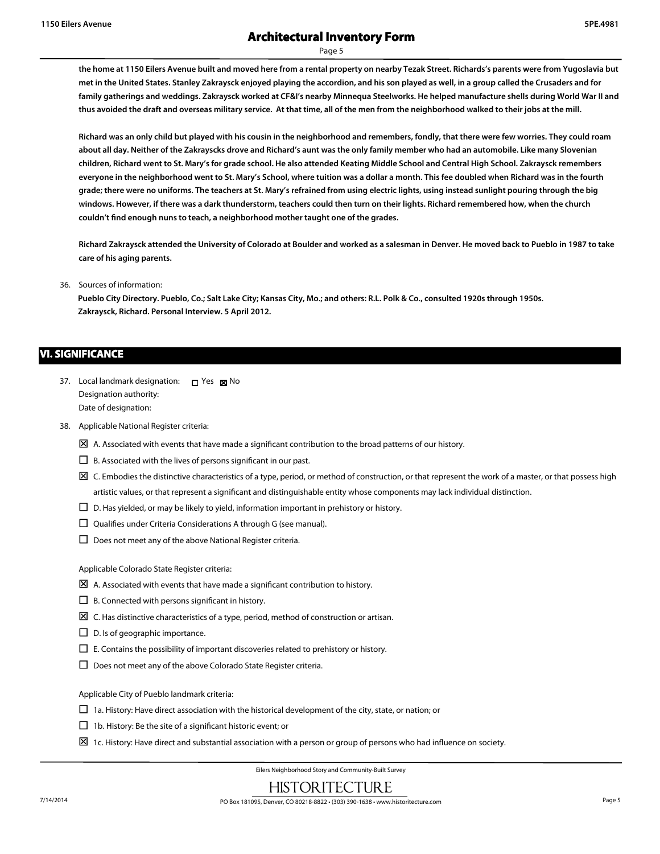Page 5

**the home at 1150 Eilers Avenue built and moved here from a rental property on nearby Tezak Street. Richards's parents were from Yugoslavia but met in the United States. Stanley Zakraysck enjoyed playing the accordion, and his son played as well, in a group called the Crusaders and for family gatherings and weddings. Zakraysck worked at CF&I's nearby Minnequa Steelworks. He helped manufacture shells during World War II and thus avoided the draft and overseas military service. At that time, all of the men from the neighborhood walked to their jobs at the mill.**

**Richard was an only child but played with his cousin in the neighborhood and remembers, fondly, that there were few worries. They could roam about all day. Neither of the Zakrayscks drove and Richard's aunt was the only family member who had an automobile. Like many Slovenian children, Richard went to St. Mary's for grade school. He also attended Keating Middle School and Central High School. Zakraysck remembers everyone in the neighborhood went to St. Mary's School, where tuition was a dollar a month. This fee doubled when Richard was in the fourth grade; there were no uniforms. The teachers at St. Mary's refrained from using electric lights, using instead sunlight pouring through the big windows. However, if there was a dark thunderstorm, teachers could then turn on their lights. Richard remembered how, when the church couldn't find enough nuns to teach, a neighborhood mother taught one of the grades.**

**Richard Zakraysck attended the University of Colorado at Boulder and worked as a salesman in Denver. He moved back to Pueblo in 1987 to take care of his aging parents.**

36. Sources of information:

**Pueblo City Directory. Pueblo, Co.; Salt Lake City; Kansas City, Mo.; and others: R.L. Polk & Co., consulted 1920s through 1950s. Zakraysck, Richard. Personal Interview. 5 April 2012.**

#### **VI. SIGNIFICANCE**

- 37. Local landmark designation:  $\Box$  Yes  $\boxtimes$  No Designation authority: Date of designation:
- 38. Applicable National Register criteria:
	- $\boxtimes$  A. Associated with events that have made a significant contribution to the broad patterns of our history.
	- $\square$  B. Associated with the lives of persons significant in our past.
	- $\boxtimes$  C. Embodies the distinctive characteristics of a type, period, or method of construction, or that represent the work of a master, or that possess high artistic values, or that represent a significant and distinguishable entity whose components may lack individual distinction.
	- $\Box$  D. Has yielded, or may be likely to yield, information important in prehistory or history.
	- $\square$  Qualifies under Criteria Considerations A through G (see manual).
	- $\square$  Does not meet any of the above National Register criteria.

Applicable Colorado State Register criteria:

- $\boxtimes$  A. Associated with events that have made a significant contribution to history.
- $\Box$  B. Connected with persons significant in history.
- $\boxtimes$  C. Has distinctive characteristics of a type, period, method of construction or artisan.
- $\square$  D. Is of geographic importance.
- $\square$  E. Contains the possibility of important discoveries related to prehistory or history.
- $\square$  Does not meet any of the above Colorado State Register criteria.

Applicable City of Pueblo landmark criteria:

- $\Box$  1a. History: Have direct association with the historical development of the city, state, or nation; or
- $\Box$  1b. History: Be the site of a significant historic event; or
- $\Sigma$  1c. History: Have direct and substantial association with a person or group of persons who had influence on society.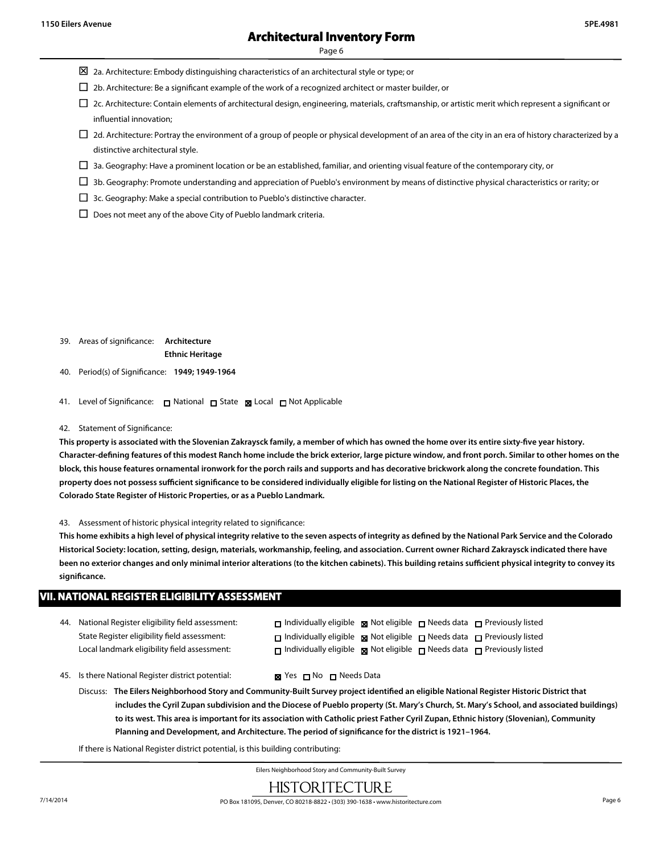Page 6

- $\boxtimes$  2a. Architecture: Embody distinguishing characteristics of an architectural style or type; or
- $\square$  2b. Architecture: Be a significant example of the work of a recognized architect or master builder, or
- $\Box$  2c. Architecture: Contain elements of architectural design, engineering, materials, craftsmanship, or artistic merit which represent a significant or influential innovation;
- $\Box$  2d. Architecture: Portray the environment of a group of people or physical development of an area of the city in an era of history characterized by a distinctive architectural style.
- $\Box$  3a. Geography: Have a prominent location or be an established, familiar, and orienting visual feature of the contemporary city, or
- $\Box$  3b. Geography: Promote understanding and appreciation of Pueblo's environment by means of distinctive physical characteristics or rarity; or
- $\Box$  3c. Geography: Make a special contribution to Pueblo's distinctive character.
- $\square$  Does not meet any of the above City of Pueblo landmark criteria.

39. Areas of significance: **Architecture**

**Ethnic Heritage**

40. Period(s) of Significance: **1949; 1949-1964**

- 41. Level of Significance: □ National □ State Local □ Not Applicable
- 42. Statement of Significance:

**This property is associated with the Slovenian Zakraysck family, a member of which has owned the home over its entire sixty-five year history. Character-defining features of this modest Ranch home include the brick exterior, large picture window, and front porch. Similar to other homes on the block, this house features ornamental ironwork for the porch rails and supports and has decorative brickwork along the concrete foundation. This property does not possess sufficient significance to be considered individually eligible for listing on the National Register of Historic Places, the Colorado State Register of Historic Properties, or as a Pueblo Landmark.**

#### 43. Assessment of historic physical integrity related to significance:

**This home exhibits a high level of physical integrity relative to the seven aspects of integrity as defined by the National Park Service and the Colorado Historical Society: location, setting, design, materials, workmanship, feeling, and association. Current owner Richard Zakraysck indicated there have been no exterior changes and only minimal interior alterations (to the kitchen cabinets). This building retains sufficient physical integrity to convey its significance.**

#### 44. National Register eligibility field assessment: State Register eligibility field assessment: Local landmark eligibility field assessment:  $\Box$  Individually eligible  $\boxtimes$  Not eligible  $\Box$  Needs data  $\Box$  Previously listed **Individually eligible <b>Not** eligible  $\Box$  Needs data  $\Box$  Previously listed  $\Box$  Individually eligible  $\boxtimes$  Not eligible  $\Box$  Needs data  $\Box$  Previously listed 45. Is there National Register district potential:  $\blacksquare$  Yes  $\blacksquare$  No  $\blacksquare$  Needs Data **VII. NATIONAL REGISTER ELIGIBILITY ASSESSMENT**

Discuss: **The Eilers Neighborhood Story and Community-Built Survey project identified an eligible National Register Historic District that includes the Cyril Zupan subdivision and the Diocese of Pueblo property (St. Mary's Church, St. Mary's School, and associated buildings) to its west. This area is important for its association with Catholic priest Father Cyril Zupan, Ethnic history (Slovenian), Community Planning and Development, and Architecture. The period of significance for the district is 1921–1964.**

If there is National Register district potential, is this building contributing: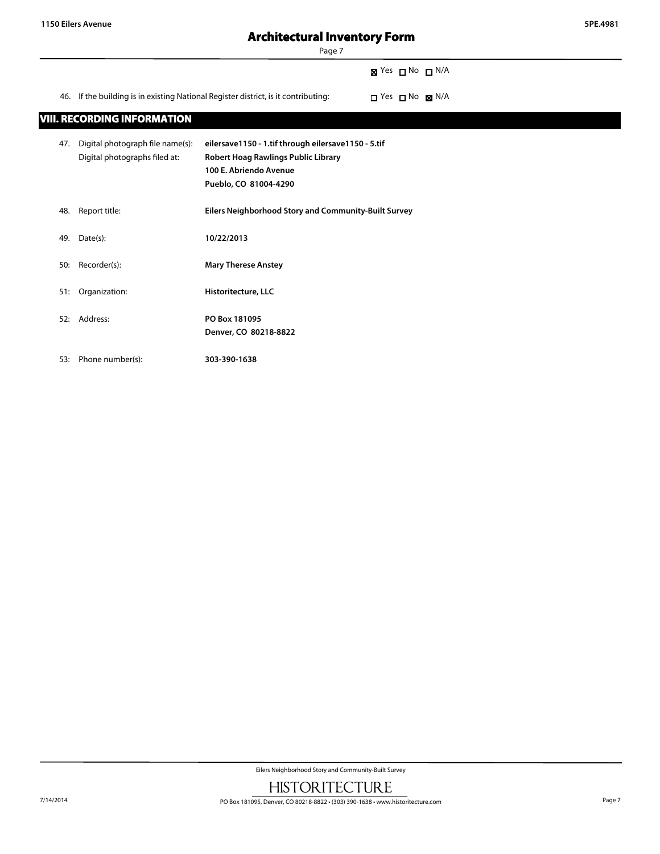Page 7

 $\boxtimes$  Yes  $\Box$  No  $\Box$  N/A

46. If the building is in existing National Register district, is it contributing:  $\Box$  Yes  $\Box$  No  $\boxtimes$  N/A

## **VIII. RECORDING INFORMATION**

| 47. | Digital photograph file name(s):<br>Digital photographs filed at: | eilersave1150 - 1.tif through eilersave1150 - 5.tif<br>Robert Hoag Rawlings Public Library<br>100 E. Abriendo Avenue<br>Pueblo, CO 81004-4290 |
|-----|-------------------------------------------------------------------|-----------------------------------------------------------------------------------------------------------------------------------------------|
| 48. | Report title:                                                     | <b>Eilers Neighborhood Story and Community-Built Survey</b>                                                                                   |
| 49. | Date(s):                                                          | 10/22/2013                                                                                                                                    |
| 50: | Recorder(s):                                                      | <b>Mary Therese Anstey</b>                                                                                                                    |
| 51: | Organization:                                                     | Historitecture, LLC                                                                                                                           |
| 52: | Address:                                                          | PO Box 181095<br>Denver, CO 80218-8822                                                                                                        |
| 53: | Phone number(s):                                                  | 303-390-1638                                                                                                                                  |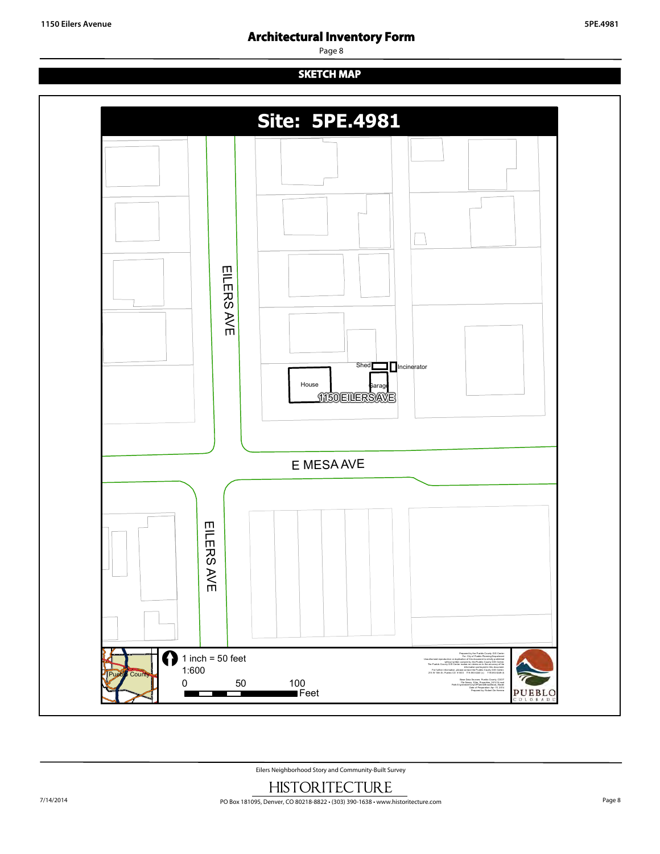Page 8

## **SKETCH MAP**